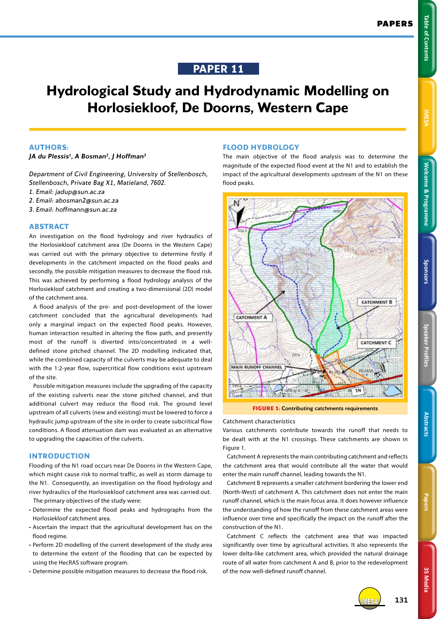# **PAPER 11**

# **Hydrological Study and Hydrodynamic Modelling on Horlosiekloof, De Doorns, Western Cape**

#### **AUTHORS:**

*JA du Plessis1, A Bosman2, J Hoffman3*

*Department of Civil Engineering, University of Stellenbosch, Stellenbosch, Private Bag X1, Matieland, 7602.*

- *1. Email: jadup@sun.ac.za*
- *2. Email: abosman2@sun.ac.za*
- *3. Email: hoffmann@sun.ac.za*

#### **ABSTRACT**

An investigation on the flood hydrology and river hydraulics of the Horlosiekloof catchment area (De Doorns in the Western Cape) was carried out with the primary objective to determine firstly if developments in the catchment impacted on the flood peaks and secondly, the possible mitigation measures to decrease the flood risk. This was achieved by performing a flood hydrology analysis of the Horlosiekloof catchment and creating a two-dimensional (2D) model of the catchment area.

A flood analysis of the pre- and post-development of the lower catchment concluded that the agricultural developments had only a marginal impact on the expected flood peaks. However, human interaction resulted in altering the flow path, and presently most of the runoff is diverted into/concentrated in a welldefined stone pitched channel. The 2D modelling indicated that, while the combined capacity of the culverts may be adequate to deal with the 1:2-year flow, supercritical flow conditions exist upstream of the site.

Possible mitigation measures include the upgrading of the capacity of the existing culverts near the stone pitched channel, and that additional culvert may reduce the flood risk. The ground level upstream of all culverts (new and existing) must be lowered to force a hydraulic jump upstream of the site in order to create subcritical flow conditions. A flood attenuation dam was evaluated as an alternative to upgrading the capacities of the culverts.

## **INTRODUCTION**

Flooding of the N1 road occurs near De Doorns in the Western Cape, which might cause risk to normal traffic, as well as storm damage to the N1. Consequently, an investigation on the flood hydrology and river hydraulics of the Horlosiekloof catchment area was carried out. The primary objectives of the study were:

- Determine the expected flood peaks and hydrographs from the Horlosiekloof catchment area.
- Ascertain the impact that the agricultural development has on the flood regime.
- Perform 2D modelling of the current development of the study area to determine the extent of the flooding that can be expected by using the HecRAS software program.
- Determine possible mitigation measures to decrease the flood risk.

# **FLOOD HYDROLOGY**

The main objective of the flood analysis was to determine the magnitude of the expected flood event at the N1 and to establish the impact of the agricultural developments upstream of the N1 on these flood peaks.





#### **Catchment characteristics**

Various catchments contribute towards the runoff that needs to be dealt with at the N1 crossings. These catchments are shown in Figure 1.

Catchment A represents the main contributing catchment and reflects the catchment area that would contribute all the water that would enter the main runoff channel, leading towards the N1.

Catchment B represents a smaller catchment bordering the lower end (North-West) of catchment A. This catchment does not enter the main runoff channel, which is the main focus area. It does however influence the understanding of how the runoff from these catchment areas were influence over time and specifically the impact on the runoff after the construction of the N1.

Catchment C reflects the catchment area that was impacted significantly over time by agricultural activities. It also represents the lower delta-like catchment area, which provided the natural drainage route of all water from catchment A and B, prior to the redevelopment of the now well-defined runoff channel.

**Speaker Profiles Sponsors**

Speaker Profile:

**Abstract** 

Sponsors

**Welcome & Programme** 

**3S Media**

3S Media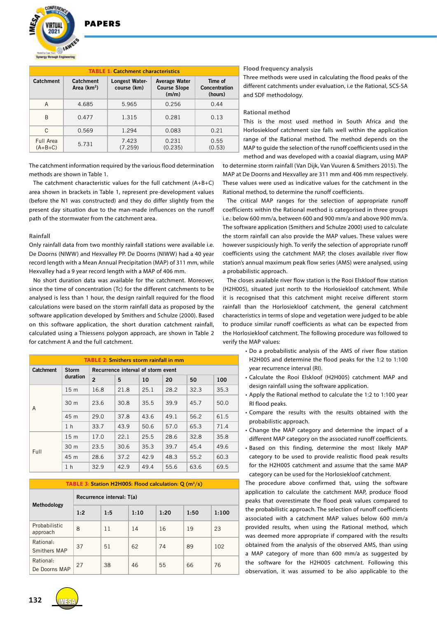**DADEDS** 



| <b>TABLE 1: Catchment characteristics</b> |                           |                               |                                                      |                                            |  |  |  |  |
|-------------------------------------------|---------------------------|-------------------------------|------------------------------------------------------|--------------------------------------------|--|--|--|--|
| Catchment                                 | Catchment<br>Area $(km2)$ | Longest Water-<br>course (km) | <b>Average Water</b><br><b>Course Slope</b><br>(m/m) | Time of<br><b>Concentration</b><br>(hours) |  |  |  |  |
| A                                         | 4.685                     | 5.965                         | 0.256                                                | 0.44                                       |  |  |  |  |
| R                                         | 0.477                     | 1.315                         | 0.281                                                | 0.13                                       |  |  |  |  |
| C                                         | 0.569                     | 1.294                         | 0.083                                                | 0.21                                       |  |  |  |  |
| Full Area<br>$(A+B+C)$                    | 5.731                     | 7.423<br>(7.259)              | 0.231<br>(0.235)                                     | 0.55<br>(0.53)                             |  |  |  |  |

The catchment information required by the various flood determination methods are shown in Table 1.

The catchment characteristic values for the full catchment (A+B+C) area shown in brackets in Table 1, represent pre-development values (before the N1 was constructed) and they do differ slightly from the present day situation due to the man-made influences on the runoff path of the stormwater from the catchment area.

#### **Rainfall**

Only rainfall data from two monthly rainfall stations were available i.e. De Doorns (NIWW) and Hexvalley PP. De Doorns (NIWW) had a 40 year record length with a Mean Annual Precipitation (MAP) of 311 mm, while Hexvalley had a 9 year record length with a MAP of 406 mm.

No short duration data was available for the catchment. Moreover, since the time of concentration (Tc) for the different catchments to be analysed is less than 1 hour, the design rainfall required for the flood calculations were based on the storm rainfall data as proposed by the software application developed by Smithers and Schulze (2000). Based on this software application, the short duration catchment rainfall, calculated using a Thiessens polygon approach, are shown in Table 2 for catchment A and the full catchment.

| <b>TABLE 2: Smithers storm rainfall in mm</b> |                          |                                    |      |      |      |      |      |  |  |
|-----------------------------------------------|--------------------------|------------------------------------|------|------|------|------|------|--|--|
| <b>Catchment</b>                              | <b>Storm</b><br>duration | Recurrence interval of storm event |      |      |      |      |      |  |  |
|                                               |                          | $\overline{2}$                     | 5    | 10   | 20   | 50   | 100  |  |  |
| A                                             | 15 <sub>m</sub>          | 16.8                               | 21.8 | 25.1 | 28.2 | 32.3 | 35.3 |  |  |
|                                               | 30 <sub>m</sub>          | 23.6                               | 30.8 | 35.5 | 39.9 | 45.7 | 50.0 |  |  |
|                                               | 45 m                     | 29.0                               | 37.8 | 43.6 | 49.1 | 56.2 | 61.5 |  |  |
|                                               | 1 <sub>h</sub>           | 33.7                               | 43.9 | 50.6 | 57.0 | 65.3 | 71.4 |  |  |
| Full                                          | 15 <sub>m</sub>          | 17.0                               | 22.1 | 25.5 | 28.6 | 32.8 | 35.8 |  |  |
|                                               | 30 m                     | 23.5                               | 30.6 | 35.3 | 39.7 | 45.4 | 49.6 |  |  |
|                                               | 45 m                     | 28.6                               | 37.2 | 42.9 | 48.3 | 55.2 | 60.3 |  |  |
|                                               | 1 <sub>h</sub>           | 32.9                               | 42.9 | 49.4 | 55.6 | 63.6 | 69.5 |  |  |

|                            | <b>TABLE 3: Station H2H005: Flood calculation: Q <math>(m^3/s)</math></b> |     |      |      |      |       |  |  |
|----------------------------|---------------------------------------------------------------------------|-----|------|------|------|-------|--|--|
| Methodology                | Recurrence interval: T(a)                                                 |     |      |      |      |       |  |  |
|                            | 1:2                                                                       | 1:5 | 1:10 | 1:20 | 1:50 | 1:100 |  |  |
| Probabilistic<br>approach  | 8                                                                         | 11  | 14   | 16   | 19   | 23    |  |  |
| Rational:<br>Smithers MAP  | 37                                                                        | 51  | 62   | 74   | 89   | 102   |  |  |
| Rational:<br>De Doorns MAP | 27                                                                        | 38  | 46   | 55   | 66   | 76    |  |  |

#### **Flood frequency analysis**

Three methods were used in calculating the flood peaks of the different catchments under evaluation, i.e the Rational, SCS-SA and SDF methodology.

#### **Rational method**

This is the most used method in South Africa and the Horlosiekloof catchment size falls well within the application range of the Rational method. The method depends on the MAP to guide the selection of the runoff coefficients used in the method and was developed with a coaxial diagram, using MAP

to determine storm rainfall (Van Dijk, Van Vuuren & Smithers 2015). The MAP at De Doorns and Hexvalley are 311 mm and 406 mm respectively. These values were used as indicative values for the catchment in the Rational method, to determine the runoff coefficients.

The critical MAP ranges for the selection of appropriate runoff coefficients within the Rational method is categorised in three groups i.e.: below 600 mm/a, between 600 and 900 mm/a and above 900 mm/a. The software application (Smithers and Schulze 2000) used to calculate the storm rainfall can also provide the MAP values. These values were however suspiciously high. To verify the selection of appropriate runoff coefficients using the catchment MAP, the closes available river flow station's annual maximum peak flow series (AMS) were analysed, using a probabilistic approach.

The closes available river flow station is the Rooi Elskloof flow station (H2H005), situated just north to the Horlosiekloof catchment. While it is recognised that this catchment might receive different storm rainfall than the Horlosiekloof catchment, the general catchment characteristics in terms of slope and vegetation were judged to be able to produce similar runoff coefficients as what can be expected from the Horlosiekloof catchment. The following procedure was followed to verify the MAP values:

- Do a probabilistic analysis of the AMS of river flow station H2H005 and determine the flood peaks for the 1:2 to 1:100 year recurrence interval (RI).
- Calculate the Rooi Elskloof (H2H005) catchment MAP and design rainfall using the software application.
- Apply the Rational method to calculate the 1:2 to 1:100 year RI flood peaks.
- Compare the results with the results obtained with the probabilistic approach.
- Change the MAP category and determine the impact of a different MAP category on the associated runoff coefficients.
- Based on this finding, determine the most likely MAP category to be used to provide realistic flood peak results for the H2H005 catchment and assume that the same MAP category can be used for the Horlosiekloof catchment.

The procedure above confirmed that, using the software application to calculate the catchment MAP, produce flood peaks that overestimate the flood peak values compared to the probabilistic approach. The selection of runoff coefficients associated with a catchment MAP values below 600 mm/a provided results, when using the Rational method, which was deemed more appropriate if compared with the results obtained from the analysis of the observed AMS, than using a MAP category of more than 600 mm/a as suggested by the software for the H2H005 catchment. Following this observation, it was assumed to be also applicable to the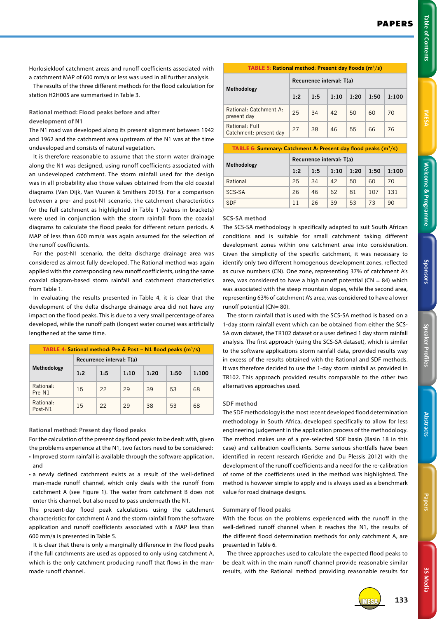Horlosiekloof catchment areas and runoff coefficients associated with a catchment MAP of 600 mm/a or less was used in all further analysis.

The results of the three different methods for the flood calculation for station H2H005 are summarised in Table 3.

**Rational method: Flood peaks before and after development of N1** 

The N1 road was developed along its present alignment between 1942 and 1962 and the catchment area upstream of the N1 was at the time undeveloped and consists of natural vegetation.

It is therefore reasonable to assume that the storm water drainage along the N1 was designed, using runoff coefficients associated with an undeveloped catchment. The storm rainfall used for the design was in all probability also those values obtained from the old coaxial diagrams (Van Dijk, Van Vuuren & Smithers 2015). For a comparison between a pre- and post-N1 scenario, the catchment characteristics for the full catchment as highlighted in Table 1 (values in brackets) were used in conjunction with the storm rainfall from the coaxial diagrams to calculate the flood peaks for different return periods. A MAP of less than 600 mm/a was again assumed for the selection of the runoff coefficients.

For the post-N1 scenario, the delta discharge drainage area was considered as almost fully developed. The Rational method was again applied with the corresponding new runoff coefficients, using the same coaxial diagram-based storm rainfall and catchment characteristics from Table 1.

In evaluating the results presented in Table 4, it is clear that the development of the delta discharge drainage area did not have any impact on the flood peaks. This is due to a very small percentage of area developed, while the runoff path (longest water course) was artificially lengthened at the same time.

| <b>TABLE 4: Sational method: Pre &amp; Post – N1 flood peaks <math>(m^3/s)</math></b> |                           |     |      |      |      |       |  |
|---------------------------------------------------------------------------------------|---------------------------|-----|------|------|------|-------|--|
|                                                                                       | Recurrence interval: T(a) |     |      |      |      |       |  |
| Methodology                                                                           | 1:2                       | 1:5 | 1:10 | 1:20 | 1:50 | 1:100 |  |
| Rational:<br>$Pre-N1$                                                                 | 15                        | 22  | 29   | 39   | 53   | 68    |  |
| Rational:<br>Post-N1                                                                  | 15                        | 22  | 29   | 38   | 53   | 68    |  |

**Rational method: Present day flood peaks** 

For the calculation of the present day flood peaks to be dealt with, given the problems experience at the N1, two factors need to be considered:

- Improved storm rainfall is available through the software application, and
- a newly defined catchment exists as a result of the well-defined man-made runoff channel, which only deals with the runoff from catchment A (see Figure 1). The water from catchment B does not enter this channel, but also need to pass underneath the N1.

The present-day flood peak calculations using the catchment characteristics for catchment A and the storm rainfall from the software application and runoff coefficients associated with a MAP less than 600 mm/a is presented in Table 5.

It is clear that there is only a marginally difference in the flood peaks if the full catchments are used as opposed to only using catchment A, which is the only catchment producing runoff that flows in the manmade runoff channel.

# **TABLE 5:** Rational method: Present day floods (m3 /s) **Methodology Recurrence interval: T(a) 1:2 1:5 1:10 1:20 1:50 1:100** Rational: Catchment A:  $\frac{1}{20}$   $\frac{1}{20}$   $\frac{1}{20}$   $\frac{1}{20}$   $\frac{1}{20}$   $\frac{1}{20}$   $\frac{1}{20}$   $\frac{1}{20}$   $\frac{1}{20}$   $\frac{1}{20}$   $\frac{1}{20}$   $\frac{1}{20}$   $\frac{1}{20}$   $\frac{1}{20}$   $\frac{1}{20}$   $\frac{1}{20}$   $\frac{1}{20}$   $\frac{1}{20}$   $\frac{1}{20}$   $\frac{1}{20}$  Rational: Full Rational: Full<br>Catchment: present day  $\begin{array}{|c|c|c|c|c|}\n 27 & 38 & 46 & 55 & 66 & 76\n\end{array}$

| <b>TABLE 6: Summary: Catchment A: Present day flood peaks <math>(m^3/s)</math></b> |             |                           |     |      |      |      |       |  |
|------------------------------------------------------------------------------------|-------------|---------------------------|-----|------|------|------|-------|--|
|                                                                                    | Methodology | Recurrence interval: T(a) |     |      |      |      |       |  |
|                                                                                    |             | 1:2                       | 1:5 | 1:10 | 1:20 | 1:50 | 1:100 |  |
|                                                                                    | Rational    | 25                        | 34  | 42   | 50   | 60   | 70    |  |
|                                                                                    | SCS-SA      | 26                        | 46  | 62   | 81   | 107  | 131   |  |
|                                                                                    | <b>SDF</b>  |                           | 26  | 39   | 53   | 73   | 90    |  |

#### **SCS-SA method**

The SCS-SA methodology is specifically adapted to suit South African conditions and is suitable for small catchment taking different development zones within one catchment area into consideration. Given the simplicity of the specific catchment, it was necessary to identify only two different homogenous development zones, reflected as curve numbers (CN). One zone, representing 37% of catchment A's area, was considered to have a high runoff potential ( $CN = 84$ ) which was associated with the steep mountain slopes, while the second area, representing 63% of catchment A's area, was considered to have a lower runoff potential (CN= 80).

The storm rainfall that is used with the SCS-SA method is based on a 1-day storm rainfall event which can be obtained from either the SCS-SA own dataset, the TR102 dataset or a user defined 1 day storm rainfall analysis. The first approach (using the SCS-SA dataset), which is similar to the software applications storm rainfall data, provided results way in excess of the results obtained with the Rational and SDF methods. It was therefore decided to use the 1-day storm rainfall as provided in TR102. This approach provided results comparable to the other two alternatives approaches used.

#### **SDF method**

The SDF methodology is the most recent developed flood determination methodology in South Africa, developed specifically to allow for less engineering judgement in the application process of the methodology. The method makes use of a pre-selected SDF basin (Basin 18 in this case) and calibration coefficients. Some serious shortfalls have been identified in recent research (Gericke and Du Plessis 2012) with the development of the runoff coefficients and a need for the re-calibration of some of the coefficients used in the method was highlighted. The method is however simple to apply and is always used as a benchmark value for road drainage designs.

#### **Summary of flood peaks**

With the focus on the problems experienced with the runoff in the well-defined runoff channel when it reaches the N1, the results of the different flood determination methods for only catchment A, are presented in Table 6.

The three approaches used to calculate the expected flood peaks to be dealt with in the main runoff channel provide reasonable similar results, with the Rational method providing reasonable results for



IMESA **133**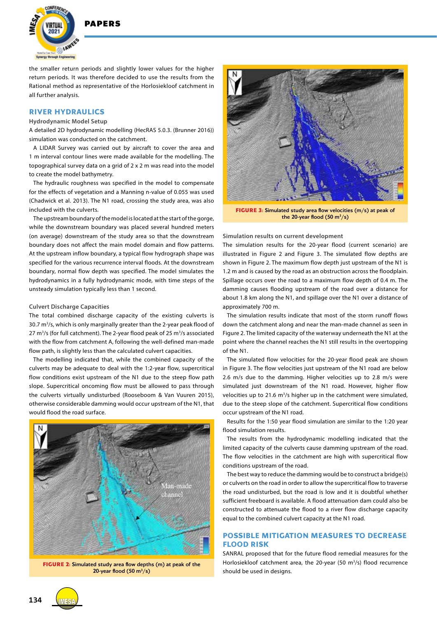

the smaller return periods and slightly lower values for the higher return periods. It was therefore decided to use the results from the Rational method as representative of the Horlosiekloof catchment in all further analysis.

### **RIVER HYDRAULICS**

#### **Hydrodynamic Model Setup**

A detailed 2D hydrodynamic modelling (HecRAS 5.0.3. (Brunner 2016)) simulation was conducted on the catchment.

A LIDAR Survey was carried out by aircraft to cover the area and 1 m interval contour lines were made available for the modelling. The topographical survey data on a grid of 2 x 2 m was read into the model to create the model bathymetry.

The hydraulic roughness was specified in the model to compensate for the effects of vegetation and a Manning n-value of 0.055 was used (Chadwick et al. 2013). The N1 road, crossing the study area, was also included with the culverts.

The upstream boundary of the model is located at the start of the gorge, while the downstream boundary was placed several hundred meters (on average) downstream of the study area so that the downstream boundary does not affect the main model domain and flow patterns. At the upstream inflow boundary, a typical flow hydrograph shape was specified for the various recurrence interval floods. At the downstream boundary, normal flow depth was specified. The model simulates the hydrodynamics in a fully hydrodynamic mode, with time steps of the unsteady simulation typically less than 1 second.

#### **Culvert Discharge Capacities**

The total combined discharge capacity of the existing culverts is 30.7 m<sup>3</sup>/s, which is only marginally greater than the 2-year peak flood of 27 m<sup>3</sup>/s (for full catchment). The 2-year flood peak of 25 m<sup>3</sup>/s associated with the flow from catchment A, following the well-defined man-made flow path, is slightly less than the calculated culvert capacities.

The modelling indicated that, while the combined capacity of the culverts may be adequate to deal with the 1:2-year flow, supercritical flow conditions exist upstream of the N1 due to the steep flow path slope. Supercritical oncoming flow must be allowed to pass through the culverts virtually undisturbed (Rooseboom & Van Vuuren 2015), otherwise considerable damming would occur upstream of the N1, that would flood the road surface.



**FIGURE 2:** Simulated study area flow depths (m) at peak of the 20-year flood  $(50 \text{ m}^3/\text{s})$ 



**FIGURE 3:** Simulated study area flow velocities (m/s) at peak of the 20-year flood  $(50 \text{ m}^3/\text{s})$ 

**Simulation results on current development**

The simulation results for the 20-year flood (current scenario) are illustrated in Figure 2 and Figure 3. The simulated flow depths are shown in Figure 2. The maximum flow depth just upstream of the N1 is 1.2 m and is caused by the road as an obstruction across the floodplain. Spillage occurs over the road to a maximum flow depth of 0.4 m. The damming causes flooding upstream of the road over a distance for about 1.8 km along the N1, and spillage over the N1 over a distance of approximately 700 m.

The simulation results indicate that most of the storm runoff flows down the catchment along and near the man-made channel as seen in Figure 2. The limited capacity of the waterway underneath the N1 at the point where the channel reaches the N1 still results in the overtopping of the N1.

The simulated flow velocities for the 20-year flood peak are shown in Figure 3. The flow velocities just upstream of the N1 road are below 2.6 m/s due to the damming. Higher velocities up to 2.8 m/s were simulated just downstream of the N1 road. However, higher flow velocities up to 21.6  $m^3/s$  higher up in the catchment were simulated, due to the steep slope of the catchment. Supercritical flow conditions occur upstream of the N1 road.

Results for the 1:50 year flood simulation are similar to the 1:20 year flood simulation results.

The results from the hydrodynamic modelling indicated that the limited capacity of the culverts cause damming upstream of the road. The flow velocities in the catchment are high with supercritical flow conditions upstream of the road.

The best way to reduce the damming would be to construct a bridge(s) or culverts on the road in order to allow the supercritical flow to traverse the road undisturbed, but the road is low and it is doubtful whether sufficient freeboard is available. A flood attenuation dam could also be constructed to attenuate the flood to a river flow discharge capacity equal to the combined culvert capacity at the N1 road.

# **POSSIBLE MITIGATION MEASURES TO DECREASE FLOOD RISK**

SANRAL proposed that for the future flood remedial measures for the Horlosiekloof catchment area, the 20-year (50 m<sup>3</sup>/s) flood recurrence should be used in designs.

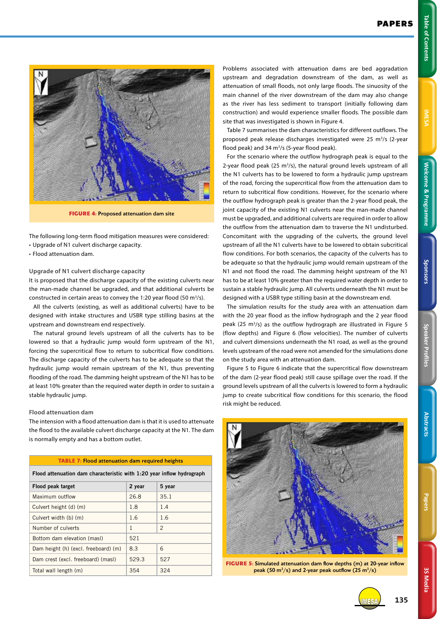**3S Media**

**3S Media** 



**FIGURE 4:** Proposed attenuation dam site

The following long-term flood mitigation measures were considered: • Upgrade of N1 culvert discharge capacity.

• Flood attenuation dam.

#### **Upgrade of N1 culvert discharge capacity**

It is proposed that the discharge capacity of the existing culverts near the man-made channel be upgraded, and that additional culverts be constructed in certain areas to convey the 1:20 year flood (50  $m^3/s$ ).

All the culverts (existing, as well as additional culverts) have to be designed with intake structures and USBR type stilling basins at the upstream and downstream end respectively.

The natural ground levels upstream of all the culverts has to be lowered so that a hydraulic jump would form upstream of the N1, forcing the supercritical flow to return to subcritical flow conditions. The discharge capacity of the culverts has to be adequate so that the hydraulic jump would remain upstream of the N1, thus preventing flooding of the road. The damming height upstream of the N1 has to be at least 10% greater than the required water depth in order to sustain a stable hydraulic jump.

#### **Flood attenuation dam**

The intension with a flood attenuation dam is that it is used to attenuate the flood to the available culvert discharge capacity at the N1. The dam is normally empty and has a bottom outlet.

#### **TABLE 7:** Flood attenuation dam required heights

**Flood attenuation dam characteristic with 1:20 year inflow hydrograph Flood peak target 2 year 5 year** Maximum outflow 26.8 35.1 Culvert height (d) (m) 1.8 1.4 Culvert width (b)  $(m)$  1.6 1.6 Number of culverts  $\begin{array}{ccc} 1 & 2 \end{array}$ Bottom dam elevation (masl) 521 Dam height (h) (excl. freeboard) (m)  $8.3$  6

Dam crest (excl. freeboard) (masl) 529.3 527 Total wall length (m) 354 324

Problems associated with attenuation dams are bed aggradation upstream and degradation downstream of the dam, as well as attenuation of small floods, not only large floods. The sinuosity of the main channel of the river downstream of the dam may also change as the river has less sediment to transport (initially following dam construction) and would experience smaller floods. The possible dam site that was investigated is shown in Figure 4.

Table 7 summarises the dam characteristics for different outflows. The proposed peak release discharges investigated were 25 m<sup>3</sup>/s (2-year flood peak) and 34 m<sup>3</sup>/s (5-year flood peak).

For the scenario where the outflow hydrograph peak is equal to the 2-year flood peak (25 m<sup>3</sup>/s), the natural ground levels upstream of all the N1 culverts has to be lowered to form a hydraulic jump upstream of the road, forcing the supercritical flow from the attenuation dam to return to subcritical flow conditions. However, for the scenario where the outflow hydrograph peak is greater than the 2-year flood peak, the joint capacity of the existing N1 culverts near the man-made channel must be upgraded, and additional culverts are required in order to allow the outflow from the attenuation dam to traverse the N1 undisturbed. Concomitant with the upgrading of the culverts, the ground level upstream of all the N1 culverts have to be lowered to obtain subcritical flow conditions. For both scenarios, the capacity of the culverts has to be adequate so that the hydraulic jump would remain upstream of the N1 and not flood the road. The damming height upstream of the N1 has to be at least 10% greater than the required water depth in order to sustain a stable hydraulic jump. All culverts underneath the N1 must be designed with a USBR type stilling basin at the downstream end.

The simulation results for the study area with an attenuation dam with the 20 year flood as the inflow hydrograph and the 2 year flood peak (25  $m^3/s$ ) as the outflow hydrograph are illustrated in Figure 5 (flow depths) and Figure 6 (flow velocities). The number of culverts and culvert dimensions underneath the N1 road, as well as the ground levels upstream of the road were not amended for the simulations done on the study area with an attenuation dam.

Figure 5 to Figure 6 indicate that the supercritical flow downstream of the dam (2-year flood peak) still cause spillage over the road. If the ground levels upstream of all the culverts is lowered to form a hydraulic jump to create subcritical flow conditions for this scenario, the flood risk might be reduced.



**FIGURE 5:** Simulated attenuation dam flow depths (m) at 20-year inflow peak (50  $\text{m}^3/\text{s}$ ) and 2-year peak outflow (25  $\text{m}^3/\text{s}$ )



IMESA **135**